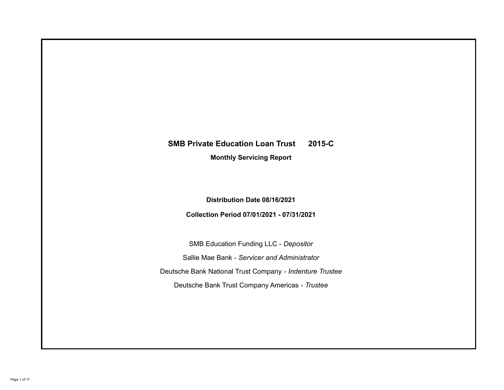# **SMB Private Education Loan Trust 2015-C**

**Monthly Servicing Report**

**Distribution Date 08/16/2021**

**Collection Period 07/01/2021 - 07/31/2021**

SMB Education Funding LLC - *Depositor* Sallie Mae Bank - *Servicer and Administrator* Deutsche Bank National Trust Company - *Indenture Trustee* Deutsche Bank Trust Company Americas - *Trustee*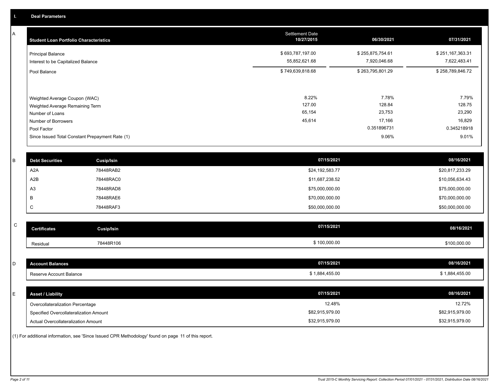A

| <b>Student Loan Portfolio Characteristics</b>                                                              | <b>Settlement Date</b><br>10/27/2015 | 06/30/2021                          | 07/31/2021                          |
|------------------------------------------------------------------------------------------------------------|--------------------------------------|-------------------------------------|-------------------------------------|
| <b>Principal Balance</b><br>Interest to be Capitalized Balance                                             | \$693,787,197.00<br>55,852,621.68    | \$255,875,754.61<br>7,920,046.68    | \$251,167,363.31<br>7,622,483.41    |
| Pool Balance                                                                                               | \$749,639,818.68                     | \$263,795,801.29                    | \$258,789,846.72                    |
| Weighted Average Coupon (WAC)<br>Weighted Average Remaining Term<br>Number of Loans<br>Number of Borrowers | 8.22%<br>127.00<br>65,154<br>45,614  | 7.78%<br>128.84<br>23,753<br>17,166 | 7.79%<br>128.75<br>23,290<br>16,829 |
| Pool Factor                                                                                                |                                      | 0.351896731                         | 0.345218918                         |
| Since Issued Total Constant Prepayment Rate (1)                                                            |                                      | 9.06%                               | 9.01%                               |

|                | <b>Cusip/Isin</b>      | 07/15/2021      | 08/16/2021      |
|----------------|------------------------|-----------------|-----------------|
| A2A            | 78448RAB2              | \$24,192,583.77 | \$20,817,233.29 |
| A2B            | 78448RAC0              | \$11,687,238.52 | \$10,056,634.43 |
| A <sub>3</sub> | 78448RAD8              | \$75,000,000.00 | \$75,000,000.00 |
|                | 78448RAE6              | \$70,000,000.00 | \$70,000,000.00 |
| ◡              | 78448RAF3              | \$50,000,000.00 | \$50,000,000.00 |
|                | <b>Debt Securities</b> |                 |                 |

| ⌒ | <b>Certificates</b> | Cusip/Isin | 07/15/2021   | 08/16/2021   |
|---|---------------------|------------|--------------|--------------|
|   | Residual            | 78448R106  | \$100,000.00 | \$100,000.00 |

| D  | <b>Account Balances</b>                | 07/15/2021      | 08/16/2021      |
|----|----------------------------------------|-----------------|-----------------|
|    | Reserve Account Balance                | \$1,884,455.00  | \$1,884,455.00  |
|    |                                        |                 |                 |
| E. | <b>Asset / Liability</b>               | 07/15/2021      | 08/16/2021      |
|    | Overcollateralization Percentage       | 12.48%          | 12.72%          |
|    | Specified Overcollateralization Amount | \$82,915,979.00 | \$82,915,979.00 |
|    | Actual Overcollateralization Amount    | \$32,915,979.00 | \$32,915,979.00 |

(1) For additional information, see 'Since Issued CPR Methodology' found on page 11 of this report.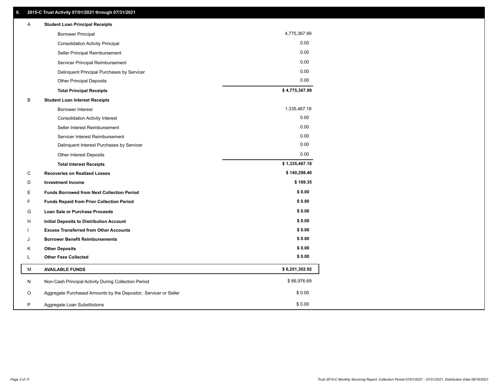| Α  | <b>Student Loan Principal Receipts</b>                           |                |
|----|------------------------------------------------------------------|----------------|
|    | <b>Borrower Principal</b>                                        | 4,775,367.99   |
|    | <b>Consolidation Activity Principal</b>                          | 0.00           |
|    | Seller Principal Reimbursement                                   | 0.00           |
|    | Servicer Principal Reimbursement                                 | 0.00           |
|    | Delinquent Principal Purchases by Servicer                       | 0.00           |
|    | <b>Other Principal Deposits</b>                                  | 0.00           |
|    | <b>Total Principal Receipts</b>                                  | \$4,775,367.99 |
| В  | <b>Student Loan Interest Receipts</b>                            |                |
|    | Borrower Interest                                                | 1,335,467.18   |
|    | <b>Consolidation Activity Interest</b>                           | 0.00           |
|    | Seller Interest Reimbursement                                    | 0.00           |
|    | Servicer Interest Reimbursement                                  | 0.00           |
|    | Delinquent Interest Purchases by Servicer                        | 0.00           |
|    | <b>Other Interest Deposits</b>                                   | 0.00           |
|    | <b>Total Interest Receipts</b>                                   | \$1,335,467.18 |
| C  | <b>Recoveries on Realized Losses</b>                             | \$140,298.40   |
| D  | <b>Investment Income</b>                                         | \$169.35       |
| Е  | <b>Funds Borrowed from Next Collection Period</b>                | \$0.00         |
| F  | <b>Funds Repaid from Prior Collection Period</b>                 | \$0.00         |
| G  | <b>Loan Sale or Purchase Proceeds</b>                            | \$0.00         |
| H. | <b>Initial Deposits to Distribution Account</b>                  | \$0.00         |
|    | <b>Excess Transferred from Other Accounts</b>                    | \$0.00         |
| J  | <b>Borrower Benefit Reimbursements</b>                           | \$0.00         |
| Κ  | <b>Other Deposits</b>                                            | \$0.00         |
| L  | <b>Other Fees Collected</b>                                      | \$0.00         |
| М  | <b>AVAILABLE FUNDS</b>                                           | \$6,251,302.92 |
| Ν  | Non-Cash Principal Activity During Collection Period             | \$66,976.69    |
| O  | Aggregate Purchased Amounts by the Depositor, Servicer or Seller | \$0.00         |
| P  | Aggregate Loan Substitutions                                     | \$0.00         |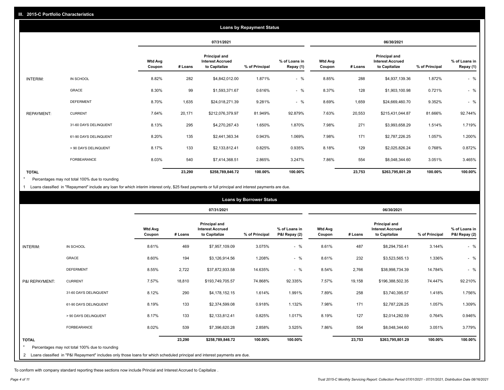|                   | <b>Loans by Repayment Status</b> |                          |         |                                                                  |                |                            |                          |         |                                                           |                |                            |
|-------------------|----------------------------------|--------------------------|---------|------------------------------------------------------------------|----------------|----------------------------|--------------------------|---------|-----------------------------------------------------------|----------------|----------------------------|
|                   |                                  |                          |         | 07/31/2021                                                       |                |                            | 06/30/2021               |         |                                                           |                |                            |
|                   |                                  | <b>Wtd Avg</b><br>Coupon | # Loans | <b>Principal and</b><br><b>Interest Accrued</b><br>to Capitalize | % of Principal | % of Loans in<br>Repay (1) | <b>Wtd Avg</b><br>Coupon | # Loans | Principal and<br><b>Interest Accrued</b><br>to Capitalize | % of Principal | % of Loans in<br>Repay (1) |
| INTERIM:          | IN SCHOOL                        | 8.82%                    | 282     | \$4,842,012.00                                                   | 1.871%         | $-$ %                      | 8.85%                    | 288     | \$4,937,139.36                                            | 1.872%         | $-$ %                      |
|                   | GRACE                            | 8.30%                    | 99      | \$1,593,371.67                                                   | 0.616%         | $-$ %                      | 8.37%                    | 128     | \$1,903,100.98                                            | 0.721%         | $-$ %                      |
|                   | <b>DEFERMENT</b>                 | 8.70%                    | 1,635   | \$24,018,271.39                                                  | 9.281%         | $-$ %                      | 8.69%                    | 1,659   | \$24,669,460.70                                           | 9.352%         | $-$ %                      |
| <b>REPAYMENT:</b> | <b>CURRENT</b>                   | 7.64%                    | 20,171  | \$212,076,379.97                                                 | 81.949%        | 92.879%                    | 7.63%                    | 20,553  | \$215,431,044.87                                          | 81.666%        | 92.744%                    |
|                   | 31-60 DAYS DELINQUENT            | 8.13%                    | 295     | \$4,270,267.43                                                   | 1.650%         | 1.870%                     | 7.98%                    | 271     | \$3,993,658.29                                            | 1.514%         | 1.719%                     |
|                   | 61-90 DAYS DELINQUENT            | 8.20%                    | 135     | \$2,441,363.34                                                   | 0.943%         | 1.069%                     | 7.98%                    | 171     | \$2,787,226.25                                            | 1.057%         | 1.200%                     |
|                   | > 90 DAYS DELINQUENT             | 8.17%                    | 133     | \$2,133,812.41                                                   | 0.825%         | 0.935%                     | 8.18%                    | 129     | \$2,025,826.24                                            | 0.768%         | 0.872%                     |
|                   | FORBEARANCE                      | 8.03%                    | 540     | \$7,414,368.51                                                   | 2.865%         | 3.247%                     | 7.86%                    | 554     | \$8,048,344.60                                            | 3.051%         | 3.465%                     |
| <b>TOTAL</b>      |                                  |                          | 23,290  | \$258,789,846.72                                                 | 100.00%        | 100.00%                    |                          | 23,753  | \$263,795,801.29                                          | 100.00%        | 100.00%                    |

Percentages may not total 100% due to rounding  $\pmb{\ast}$ 

1 Loans classified in "Repayment" include any loan for which interim interest only, \$25 fixed payments or full principal and interest payments are due.

| <b>Loans by Borrower Status</b> |                                                                                                                              |                          |         |                                                                  |                |                                |                          |         |                                                           |                |                                |
|---------------------------------|------------------------------------------------------------------------------------------------------------------------------|--------------------------|---------|------------------------------------------------------------------|----------------|--------------------------------|--------------------------|---------|-----------------------------------------------------------|----------------|--------------------------------|
|                                 |                                                                                                                              |                          |         | 07/31/2021                                                       |                |                                |                          |         | 06/30/2021                                                |                |                                |
|                                 |                                                                                                                              | <b>Wtd Avg</b><br>Coupon | # Loans | <b>Principal and</b><br><b>Interest Accrued</b><br>to Capitalize | % of Principal | % of Loans in<br>P&I Repay (2) | <b>Wtd Avg</b><br>Coupon | # Loans | Principal and<br><b>Interest Accrued</b><br>to Capitalize | % of Principal | % of Loans in<br>P&I Repay (2) |
| INTERIM:                        | IN SCHOOL                                                                                                                    | 8.61%                    | 469     | \$7,957,109.09                                                   | 3.075%         | $-$ %                          | 8.61%                    | 487     | \$8,294,750.41                                            | 3.144%         | $-$ %                          |
|                                 | <b>GRACE</b>                                                                                                                 | 8.60%                    | 194     | \$3,126,914.56                                                   | 1.208%         | $-$ %                          | 8.61%                    | 232     | \$3,523,565.13                                            | 1.336%         | $-$ %                          |
|                                 | <b>DEFERMENT</b>                                                                                                             | 8.55%                    | 2,722   | \$37,872,933.58                                                  | 14.635%        | $-$ %                          | 8.54%                    | 2,766   | \$38,998,734.39                                           | 14.784%        | $-$ %                          |
| P&I REPAYMENT:                  | <b>CURRENT</b>                                                                                                               | 7.57%                    | 18,810  | \$193,749,705.57                                                 | 74.868%        | 92.335%                        | 7.57%                    | 19,158  | \$196,388,502.35                                          | 74.447%        | 92.210%                        |
|                                 | 31-60 DAYS DELINQUENT                                                                                                        | 8.12%                    | 290     | \$4,178,152.15                                                   | 1.614%         | 1.991%                         | 7.89%                    | 258     | \$3,740,395.57                                            | 1.418%         | 1.756%                         |
|                                 | 61-90 DAYS DELINQUENT                                                                                                        | 8.19%                    | 133     | \$2,374,599.08                                                   | 0.918%         | 1.132%                         | 7.98%                    | 171     | \$2,787,226.25                                            | 1.057%         | 1.309%                         |
|                                 | > 90 DAYS DELINQUENT                                                                                                         | 8.17%                    | 133     | \$2,133,812.41                                                   | 0.825%         | 1.017%                         | 8.19%                    | 127     | \$2,014,282.59                                            | 0.764%         | 0.946%                         |
|                                 | <b>FORBEARANCE</b>                                                                                                           | 8.02%                    | 539     | \$7,396,620.28                                                   | 2.858%         | 3.525%                         | 7.86%                    | 554     | \$8,048,344.60                                            | 3.051%         | 3.779%                         |
| <b>TOTAL</b>                    | Percentages may not total 100% due to rounding                                                                               |                          | 23,290  | \$258,789,846.72                                                 | 100.00%        | 100.00%                        |                          | 23,753  | \$263,795,801.29                                          | 100.00%        | 100.00%                        |
|                                 | 2 Loans classified in "P&I Repayment" includes only those loans for which scheduled principal and interest payments are due. |                          |         |                                                                  |                |                                |                          |         |                                                           |                |                                |

To conform with company standard reporting these sections now include Princial and Interest Accrued to Capitalize .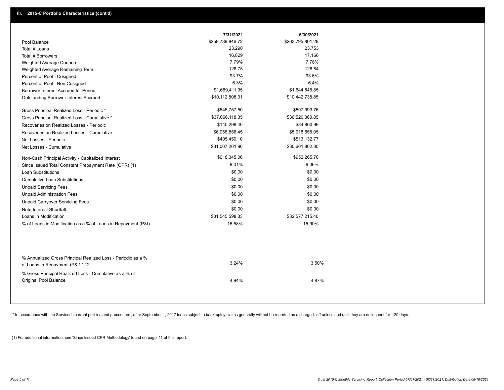|                                                                                                  | 7/31/2021        | 6/30/2021        |  |
|--------------------------------------------------------------------------------------------------|------------------|------------------|--|
| Pool Balance                                                                                     | \$258,789,846.72 | \$263,795,801.29 |  |
| Total # Loans                                                                                    | 23,290           | 23,753           |  |
| Total # Borrowers                                                                                | 16,829           | 17,166           |  |
| Weighted Average Coupon                                                                          | 7.79%            | 7.78%            |  |
| Weighted Average Remaining Term                                                                  | 128.75           | 128.84           |  |
| Percent of Pool - Cosigned                                                                       | 93.7%            | 93.6%            |  |
| Percent of Pool - Non Cosigned                                                                   | 6.3%             | 6.4%             |  |
| Borrower Interest Accrued for Period                                                             | \$1,669,411.95   | \$1,644,548.85   |  |
| Outstanding Borrower Interest Accrued                                                            | \$10,112,808.31  | \$10,442,738.85  |  |
| Gross Principal Realized Loss - Periodic *                                                       | \$545,757.50     | \$597,993.76     |  |
| Gross Principal Realized Loss - Cumulative *                                                     | \$37,066,118.35  | \$36,520,360.85  |  |
| Recoveries on Realized Losses - Periodic                                                         | \$140,298.40     | \$84,860.99      |  |
| Recoveries on Realized Losses - Cumulative                                                       | \$6,058,856.45   | \$5,918,558.05   |  |
| Net Losses - Periodic                                                                            | \$405,459.10     | \$513,132.77     |  |
| Net Losses - Cumulative                                                                          | \$31,007,261.90  | \$30,601,802.80  |  |
| Non-Cash Principal Activity - Capitalized Interest                                               | \$618,345.06     | \$952,265.70     |  |
| Since Issued Total Constant Prepayment Rate (CPR) (1)                                            | 9.01%            | 9.06%            |  |
| <b>Loan Substitutions</b>                                                                        | \$0.00           | \$0.00           |  |
| <b>Cumulative Loan Substitutions</b>                                                             | \$0.00           | \$0.00           |  |
| <b>Unpaid Servicing Fees</b>                                                                     | \$0.00           | \$0.00           |  |
| <b>Unpaid Administration Fees</b>                                                                | \$0.00           | \$0.00           |  |
| <b>Unpaid Carryover Servicing Fees</b>                                                           | \$0.00           | \$0.00           |  |
| Note Interest Shortfall                                                                          | \$0.00           | \$0.00           |  |
| Loans in Modification                                                                            | \$31,545,598.33  | \$32,577,215.40  |  |
| % of Loans in Modification as a % of Loans in Repayment (P&I)                                    | 15.58%           | 15.90%           |  |
|                                                                                                  |                  |                  |  |
| % Annualized Gross Principal Realized Loss - Periodic as a %<br>of Loans in Repayment (P&I) * 12 | 3.24%            | 3.50%            |  |
| % Gross Principal Realized Loss - Cumulative as a % of<br>Original Pool Balance                  | 4.94%            | 4.87%            |  |

\* In accordance with the Servicer's current policies and procedures, after September 1, 2017 loans subject to bankruptcy claims generally will not be reported as a charged- off unless and until they are delinquent for 120

(1) For additional information, see 'Since Issued CPR Methodology' found on page 11 of this report.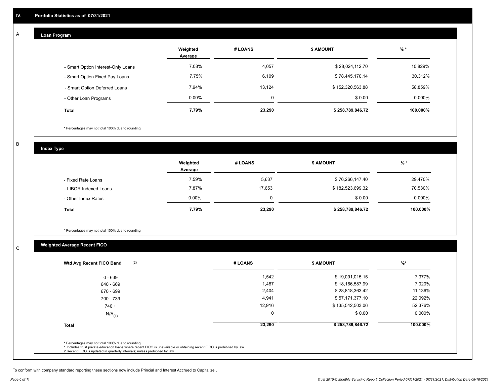### **Loan Program**

A

|                                    | Weighted<br>Average | # LOANS  | <b>\$ AMOUNT</b> | $%$ *    |
|------------------------------------|---------------------|----------|------------------|----------|
| - Smart Option Interest-Only Loans | 7.08%               | 4,057    | \$28,024,112.70  | 10.829%  |
| - Smart Option Fixed Pay Loans     | 7.75%               | 6,109    | \$78,445,170.14  | 30.312%  |
| - Smart Option Deferred Loans      | 7.94%               | 13.124   | \$152,320,563.88 | 58.859%  |
| - Other Loan Programs              | $0.00\%$            | $\Omega$ | \$0.00           | 0.000%   |
| <b>Total</b>                       | 7.79%               | 23,290   | \$258,789,846.72 | 100.000% |

\* Percentages may not total 100% due to rounding

B

C

**Index Type**

|                       | Weighted<br>Average | # LOANS | <b>\$ AMOUNT</b> | % *       |
|-----------------------|---------------------|---------|------------------|-----------|
| - Fixed Rate Loans    | 7.59%               | 5,637   | \$76,266,147.40  | 29.470%   |
| - LIBOR Indexed Loans | 7.87%               | 17.653  | \$182,523,699.32 | 70.530%   |
| - Other Index Rates   | $0.00\%$            | 0       | \$0.00           | $0.000\%$ |
| <b>Total</b>          | 7.79%               | 23,290  | \$258,789,846.72 | 100.000%  |

\* Percentages may not total 100% due to rounding

### **Weighted Average Recent FICO**

| $0 - 639$            | 1,542    | \$19,091,015.15  | 7.377%    |
|----------------------|----------|------------------|-----------|
| 640 - 669            | 1,487    | \$18,166,587.99  | 7.020%    |
| 670 - 699            | 2,404    | \$28,818,363.42  | 11.136%   |
| 700 - 739            | 4,941    | \$57,171,377.10  | 22.092%   |
| $740 +$              | 12,916   | \$135,542,503.06 | 52.376%   |
| $N/A$ <sub>(1)</sub> | $\Omega$ | \$0.00           | $0.000\%$ |
| <b>Total</b>         | 23,290   | \$258,789,846.72 | 100.000%  |

To conform with company standard reporting these sections now include Princial and Interest Accrued to Capitalize .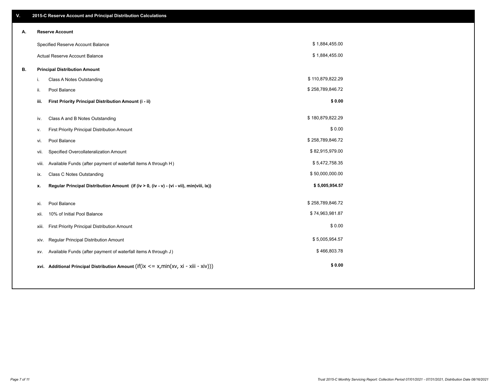| V. |       | 2015-C Reserve Account and Principal Distribution Calculations                              |                  |  |
|----|-------|---------------------------------------------------------------------------------------------|------------------|--|
| А. |       | <b>Reserve Account</b>                                                                      |                  |  |
|    |       | Specified Reserve Account Balance                                                           | \$1,884,455.00   |  |
|    |       | <b>Actual Reserve Account Balance</b>                                                       | \$1,884,455.00   |  |
| В. |       | <b>Principal Distribution Amount</b>                                                        |                  |  |
|    | i.    | Class A Notes Outstanding                                                                   | \$110,879,822.29 |  |
|    | ii.   | Pool Balance                                                                                | \$258,789,846.72 |  |
|    | iii.  | First Priority Principal Distribution Amount (i - ii)                                       | \$0.00           |  |
|    |       |                                                                                             |                  |  |
|    | iv.   | Class A and B Notes Outstanding                                                             | \$180,879,822.29 |  |
|    | v.    | First Priority Principal Distribution Amount                                                | \$0.00           |  |
|    | vi.   | Pool Balance                                                                                | \$258,789,846.72 |  |
|    | vii.  | Specified Overcollateralization Amount                                                      | \$82,915,979.00  |  |
|    | Viii. | Available Funds (after payment of waterfall items A through H)                              | \$5,472,758.35   |  |
|    | ix.   | <b>Class C Notes Outstanding</b>                                                            | \$50,000,000.00  |  |
|    | x.    | Regular Principal Distribution Amount (if (iv > 0, (iv - v) - (vi - vii), min(viii, ix))    | \$5,005,954.57   |  |
|    |       |                                                                                             |                  |  |
|    | xi.   | Pool Balance                                                                                | \$258,789,846.72 |  |
|    | xii.  | 10% of Initial Pool Balance                                                                 | \$74,963,981.87  |  |
|    | xiii. | First Priority Principal Distribution Amount                                                | \$0.00           |  |
|    | xiv.  | Regular Principal Distribution Amount                                                       | \$5,005,954.57   |  |
|    | XV.   | Available Funds (after payment of waterfall items A through J)                              | \$466,803.78     |  |
|    |       | xvi. Additional Principal Distribution Amount (if(ix $\leq$ = x, min(xv, xi - xiii - xiv))) | \$0.00           |  |
|    |       |                                                                                             |                  |  |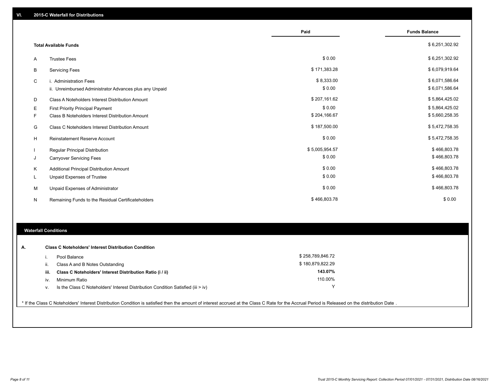|   |                                                         | Paid           | <b>Funds Balance</b> |
|---|---------------------------------------------------------|----------------|----------------------|
|   | <b>Total Available Funds</b>                            |                | \$6,251,302.92       |
| A | <b>Trustee Fees</b>                                     | \$0.00         | \$6,251,302.92       |
| В | <b>Servicing Fees</b>                                   | \$171,383.28   | \$6,079,919.64       |
| C | i. Administration Fees                                  | \$8,333.00     | \$6,071,586.64       |
|   | ii. Unreimbursed Administrator Advances plus any Unpaid | \$0.00         | \$6,071,586.64       |
| D | Class A Noteholders Interest Distribution Amount        | \$207,161.62   | \$5,864,425.02       |
| Е | First Priority Principal Payment                        | \$0.00         | \$5,864,425.02       |
| F | Class B Noteholders Interest Distribution Amount        | \$204,166.67   | \$5,660,258.35       |
| G | Class C Noteholders Interest Distribution Amount        | \$187,500.00   | \$5,472,758.35       |
| н | <b>Reinstatement Reserve Account</b>                    | \$0.00         | \$5,472,758.35       |
|   | Regular Principal Distribution                          | \$5,005,954.57 | \$466,803.78         |
| J | <b>Carryover Servicing Fees</b>                         | \$0.00         | \$466,803.78         |
| Κ | Additional Principal Distribution Amount                | \$0.00         | \$466,803.78         |
| L | Unpaid Expenses of Trustee                              | \$0.00         | \$466,803.78         |
| M | Unpaid Expenses of Administrator                        | \$0.00         | \$466,803.78         |
| N | Remaining Funds to the Residual Certificateholders      | \$466,803.78   | \$0.00               |

### **Waterfall Conditions**

| А. |       | <b>Class C Noteholders' Interest Distribution Condition</b>                      |                  |  |
|----|-------|----------------------------------------------------------------------------------|------------------|--|
|    |       | Pool Balance                                                                     | \$258.789.846.72 |  |
|    | H.    | Class A and B Notes Outstanding                                                  | \$180,879,822.29 |  |
|    | -iii. | Class C Noteholders' Interest Distribution Ratio (i / ii)                        | 143.07%          |  |
|    | iv.   | Minimum Ratio                                                                    | 110.00%          |  |
|    | v.    | Is the Class C Noteholders' Interest Distribution Condition Satisfied (iii > iv) | $\checkmark$     |  |
|    |       |                                                                                  |                  |  |

\* If the Class C Noteholders' Interest Distribution Condition is satisfied then the amount of interest accrued at the Class C Rate for the Accrual Period is Released on the distribution Date .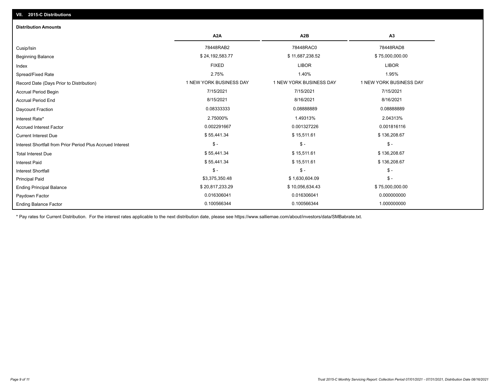## Ending Balance Factor Paydown Factor 0.016306041 0.016306041 0.000000000 Ending Principal Balance \$ 75,000,000.00 \$ \$ 20,817,233.29 \$ \$ 10,056,634.43 \$ 75,000,000.00 \$ \$ 75,000,000.00 Principal Paid \$3,375,350.48 \$ 1,630,604.09 \$ - \$ - \$ - \$ - Interest Shortfall \$ 55,441.34 \$ 15,511.61 \$ 136,208.67 Interest Paid Total Interest Due \$ 55,441.34 \$ 15,511.61 \$ 136,208.67 \$ - \$ - \$ - Interest Shortfall from Prior Period Plus Accrued Interest Current Interest Due \$ 55,441.34 \$ 15,511.61 \$ 136,208.67 Accrued Interest Factor 0.002291667 0.001327226 0.001816116 Interest Rate\* 2.75000% 1.49313% 2.04313% Daycount Fraction 0.08333333 0.08888889 0.08888889 Accrual Period End 8/15/2021 8/16/2021 8/16/2021 Accrual Period Begin 7/15/2021 7/15/2021 7/15/2021 Record Date (Days Prior to Distribution) **1 NEW YORK BUSINESS DAY** 1 NEW YORK BUSINESS DAY 1 NEW YORK BUSINESS DAY Spread/Fixed Rate 2.75% 1.40% 1.95% Index FIXED LIBOR LIBOR Beginning Balance \$ 24,192,583.77 \$ 11,687,238.52 \$ 11,687,238.52 \$ 75,000,000.00 \$ 34,192,583.77 \$ Cusip/Isin 78448RAB2 78448RAC0 78448RAD8 **A2A A2B A3** 0.100566344 0.100566344 1.000000000 **Distribution Amounts**

\* Pay rates for Current Distribution. For the interest rates applicable to the next distribution date, please see https://www.salliemae.com/about/investors/data/SMBabrate.txt.

**VII. 2015-C Distributions**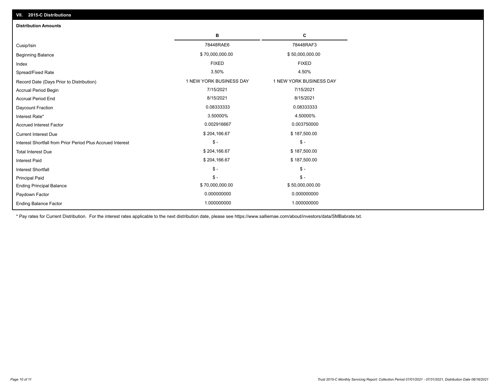| VII. 2015-C Distributions                                  |                         |                         |  |  |  |
|------------------------------------------------------------|-------------------------|-------------------------|--|--|--|
| <b>Distribution Amounts</b>                                |                         |                         |  |  |  |
|                                                            | в                       | С                       |  |  |  |
| Cusip/Isin                                                 | 78448RAE6               | 78448RAF3               |  |  |  |
| <b>Beginning Balance</b>                                   | \$70,000,000.00         | \$50,000,000.00         |  |  |  |
| Index                                                      | <b>FIXED</b>            | <b>FIXED</b>            |  |  |  |
| Spread/Fixed Rate                                          | 3.50%                   | 4.50%                   |  |  |  |
| Record Date (Days Prior to Distribution)                   | 1 NEW YORK BUSINESS DAY | 1 NEW YORK BUSINESS DAY |  |  |  |
| Accrual Period Begin                                       | 7/15/2021               | 7/15/2021               |  |  |  |
| <b>Accrual Period End</b>                                  | 8/15/2021               | 8/15/2021               |  |  |  |
| Daycount Fraction                                          | 0.08333333              | 0.08333333              |  |  |  |
| Interest Rate*                                             | 3.50000%                | 4.50000%                |  |  |  |
| <b>Accrued Interest Factor</b>                             | 0.002916667             | 0.003750000             |  |  |  |
| <b>Current Interest Due</b>                                | \$204,166.67            | \$187,500.00            |  |  |  |
| Interest Shortfall from Prior Period Plus Accrued Interest | $\mathcal{S}$ -         | $\mathcal{S}$ -         |  |  |  |
| <b>Total Interest Due</b>                                  | \$204,166.67            | \$187,500.00            |  |  |  |
| <b>Interest Paid</b>                                       | \$204,166.67            | \$187,500.00            |  |  |  |
| <b>Interest Shortfall</b>                                  | $\mathcal{S}$ -         | $\mathbb{S}$ -          |  |  |  |
| <b>Principal Paid</b>                                      | $\mathsf{\$}$ -         | $$ -$                   |  |  |  |
| <b>Ending Principal Balance</b>                            | \$70,000,000.00         | \$50,000,000.00         |  |  |  |
| Paydown Factor                                             | 0.000000000             | 0.000000000             |  |  |  |
| <b>Ending Balance Factor</b>                               | 1.000000000             | 1.000000000             |  |  |  |

\* Pay rates for Current Distribution. For the interest rates applicable to the next distribution date, please see https://www.salliemae.com/about/investors/data/SMBabrate.txt.